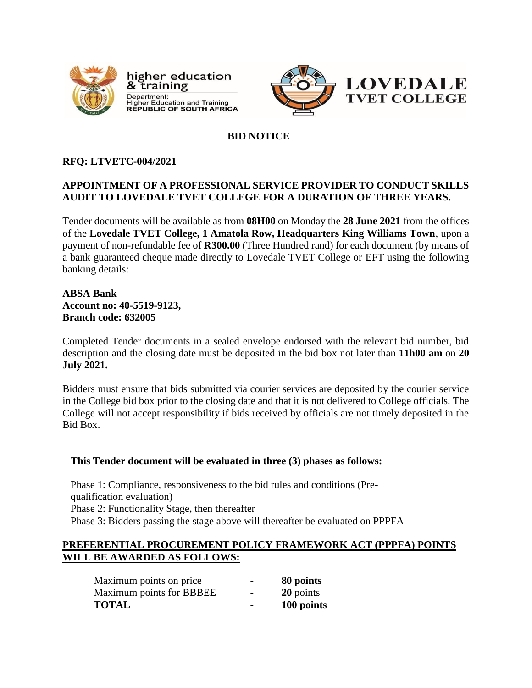

higher education & training Department: **Bepartment:**<br>Higher Education and Training<br>REPUBLIC OF SOUTH AFRICA



# **BID NOTICE**

## **RFQ: LTVETC-004/2021**

### **APPOINTMENT OF A PROFESSIONAL SERVICE PROVIDER TO CONDUCT SKILLS AUDIT TO LOVEDALE TVET COLLEGE FOR A DURATION OF THREE YEARS.**

Tender documents will be available as from **08H00** on Monday the **28 June 2021** from the offices of the **Lovedale TVET College, 1 Amatola Row, Headquarters King Williams Town**, upon a payment of non-refundable fee of **R300.00** (Three Hundred rand) for each document (by means of a bank guaranteed cheque made directly to Lovedale TVET College or EFT using the following banking details:

### **ABSA Bank Account no: 40-5519-9123, Branch code: 632005**

Completed Tender documents in a sealed envelope endorsed with the relevant bid number, bid description and the closing date must be deposited in the bid box not later than **11h00 am** on **20 July 2021.**

Bidders must ensure that bids submitted via courier services are deposited by the courier service in the College bid box prior to the closing date and that it is not delivered to College officials. The College will not accept responsibility if bids received by officials are not timely deposited in the Bid Box.

### **This Tender document will be evaluated in three (3) phases as follows:**

Phase 1: Compliance, responsiveness to the bid rules and conditions (Prequalification evaluation) Phase 2: Functionality Stage, then thereafter Phase 3: Bidders passing the stage above will thereafter be evaluated on PPPFA

#### **PREFERENTIAL PROCUREMENT POLICY FRAMEWORK ACT (PPPFA) POINTS WILL BE AWARDED AS FOLLOWS:**

| Maximum points on price  |                          | 80 points  |
|--------------------------|--------------------------|------------|
| Maximum points for BBBEE | $\overline{\phantom{a}}$ | 20 points  |
| <b>TOTAL</b>             |                          | 100 points |